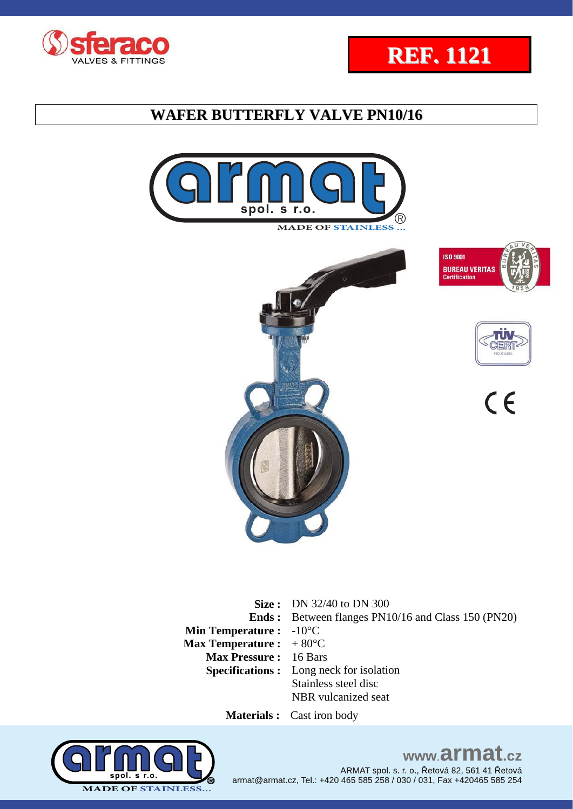















**Size :** DN 32/40 to DN 300 **Ends :**  Between flanges PN10/16 and Class 150 (PN20) **Min Temperature :**  -10°C **Max Temperature :**  + 80°C **Max Pressure :** 16 Bars **Specifications :** Long neck for isolation Stainless steel disc NBR vulcanized seat

 **Materials :** Cast iron body



# www.armat.cz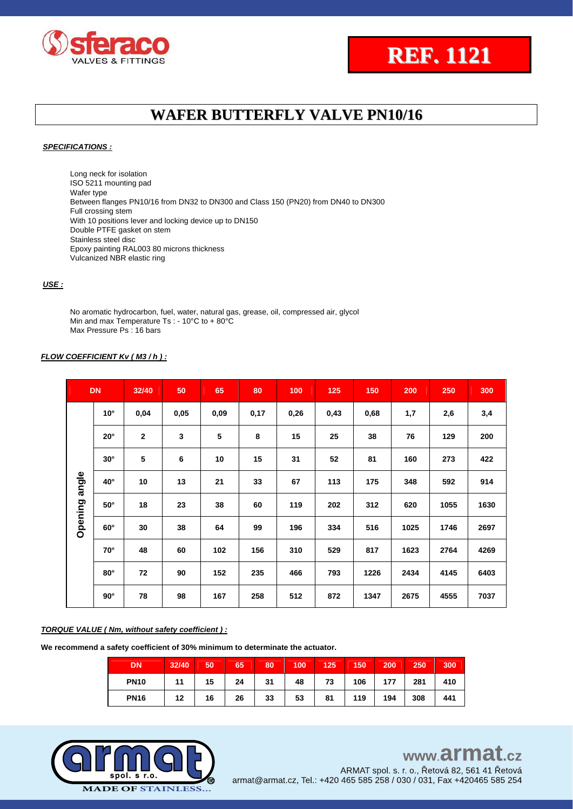



#### *SPECIFICATIONS :*

Long neck for isolation ISO 5211 mounting pad Wafer type Between flanges PN10/16 from DN32 to DN300 and Class 150 (PN20) from DN40 to DN300 Full crossing stem With 10 positions lever and locking device up to DN150 Double PTFE gasket on stem Stainless steel disc Epoxy painting RAL003 80 microns thickness Vulcanized NBR elastic ring

#### *USE :*

No aromatic hydrocarbon, fuel, water, natural gas, grease, oil, compressed air, glycol Min and max Temperature Ts : - 10°C to + 80°C Max Pressure Ps : 16 bars

#### *FLOW COEFFICIENT Kv ( M3 / h ) :*

|               | <b>DN</b>    | 32/40          | 50   | 65   | 80   | 100  | 125  | 150  | 200  | 250  | 300  |
|---------------|--------------|----------------|------|------|------|------|------|------|------|------|------|
|               | $10^{\circ}$ | 0,04           | 0,05 | 0,09 | 0,17 | 0,26 | 0,43 | 0,68 | 1,7  | 2,6  | 3,4  |
|               | $20^\circ$   | $\overline{2}$ | 3    | 5    | 8    | 15   | 25   | 38   | 76   | 129  | 200  |
|               | $30^\circ$   | 5              | 6    | 10   | 15   | 31   | 52   | 81   | 160  | 273  | 422  |
|               | $40^{\circ}$ | 10             | 13   | 21   | 33   | 67   | 113  | 175  | 348  | 592  | 914  |
| Opening angle | $50^\circ$   | 18             | 23   | 38   | 60   | 119  | 202  | 312  | 620  | 1055 | 1630 |
|               | $60^\circ$   | 30             | 38   | 64   | 99   | 196  | 334  | 516  | 1025 | 1746 | 2697 |
|               | $70^\circ$   | 48             | 60   | 102  | 156  | 310  | 529  | 817  | 1623 | 2764 | 4269 |
|               | $80^\circ$   | 72             | 90   | 152  | 235  | 466  | 793  | 1226 | 2434 | 4145 | 6403 |
|               | $90^\circ$   | 78             | 98   | 167  | 258  | 512  | 872  | 1347 | 2675 | 4555 | 7037 |

#### *TORQUE VALUE ( Nm, without safety coefficient ) :*

**We recommend a safety coefficient of 30% minimum to determinate the actuator.** 

| <b>DN</b>   | 32/40 | 50 | 65/ | 80 | $\sqrt{100}$ | 125 | 150 | 200 | 250     | 300 |
|-------------|-------|----|-----|----|--------------|-----|-----|-----|---------|-----|
| <b>PN10</b> | 11    | 15 | 24  | 31 | 48           | 73  | 106 | 177 | 281 410 |     |
| <b>PN16</b> | 12    | 16 | 26  | 33 | 53           | 81  | 119 | 194 | 308     | 441 |

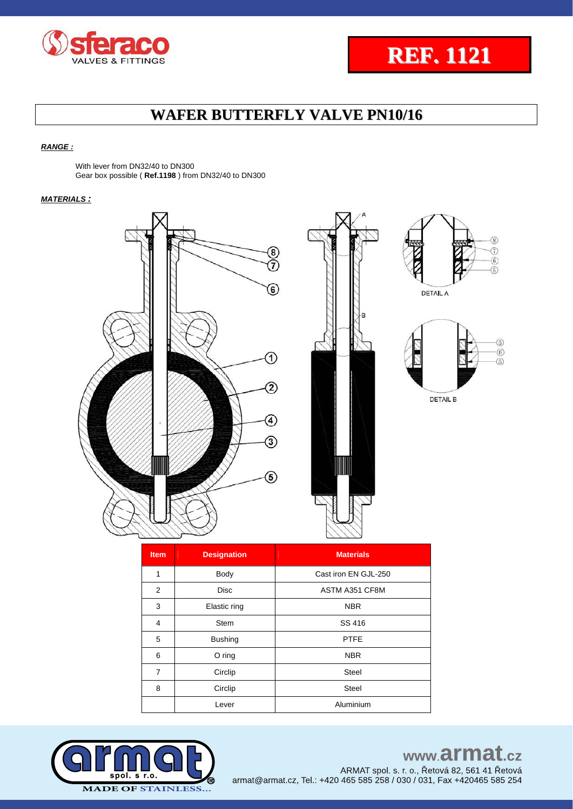



#### *RANGE :*

With lever from DN32/40 to DN300 Gear box possible ( **Ref.1198** ) from DN32/40 to DN300

#### *MATERIALS :*







**DETAIL A** 



**DETAIL B** 

| <b>Item</b>    | <b>Designation</b> | <b>Materials</b>     |
|----------------|--------------------|----------------------|
| 1              | Body               | Cast iron EN GJL-250 |
| 2              | <b>Disc</b>        | ASTM A351 CF8M       |
| 3              | Elastic ring       | <b>NBR</b>           |
| 4              | <b>Stem</b>        | SS 416               |
| 5              | <b>Bushing</b>     | <b>PTFE</b>          |
| 6              | $O$ ring           | <b>NBR</b>           |
| $\overline{7}$ | Circlip            | <b>Steel</b>         |
| 8              | Circlip            | <b>Steel</b>         |
|                | Lever              | Aluminium            |



# www.armat.cz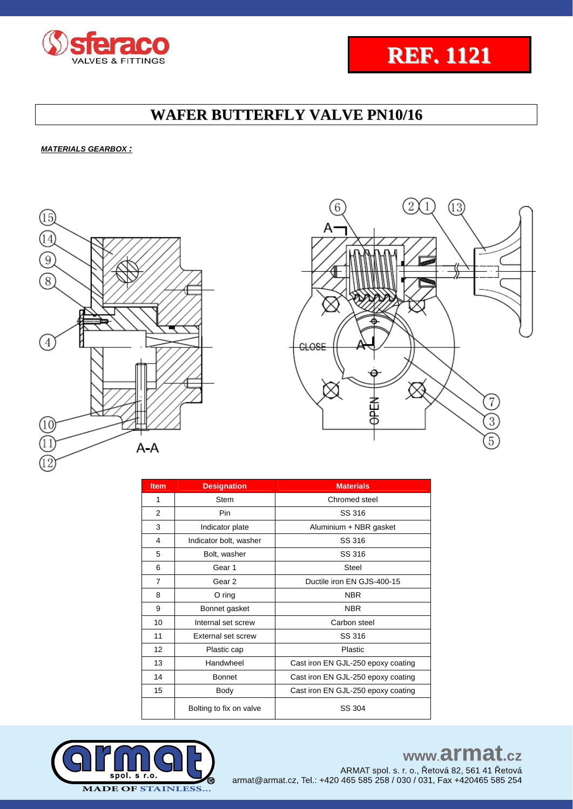

#### *MATERIALS GEARBOX :*





**REF. 1121**

| <b>Item</b> | <b>Designation</b>      | <b>Materials</b>                   |  |  |
|-------------|-------------------------|------------------------------------|--|--|
| 1           | Stem                    | Chromed steel                      |  |  |
| 2           | Pin                     | SS 316                             |  |  |
| 3           | Indicator plate         | Aluminium + NBR gasket             |  |  |
| 4           | Indicator bolt, washer  | SS 316                             |  |  |
| 5           | Bolt, washer            | SS 316                             |  |  |
| 6           | Gear 1                  | <b>Steel</b>                       |  |  |
| 7           | Gear 2                  | Ductile iron EN GJS-400-15         |  |  |
| 8           | $O$ ring                | <b>NBR</b>                         |  |  |
| 9           | Bonnet gasket           | <b>NBR</b>                         |  |  |
| 10          | Internal set screw      | Carbon steel                       |  |  |
| 11          | External set screw      | SS 316                             |  |  |
| 12          | Plastic cap             | Plastic                            |  |  |
| 13          | Handwheel               | Cast iron EN GJL-250 epoxy coating |  |  |
| 14          | <b>Bonnet</b>           | Cast iron EN GJL-250 epoxy coating |  |  |
| 15          | Body                    | Cast iron EN GJL-250 epoxy coating |  |  |
|             | Bolting to fix on valve | SS 304                             |  |  |



# www.armat.cz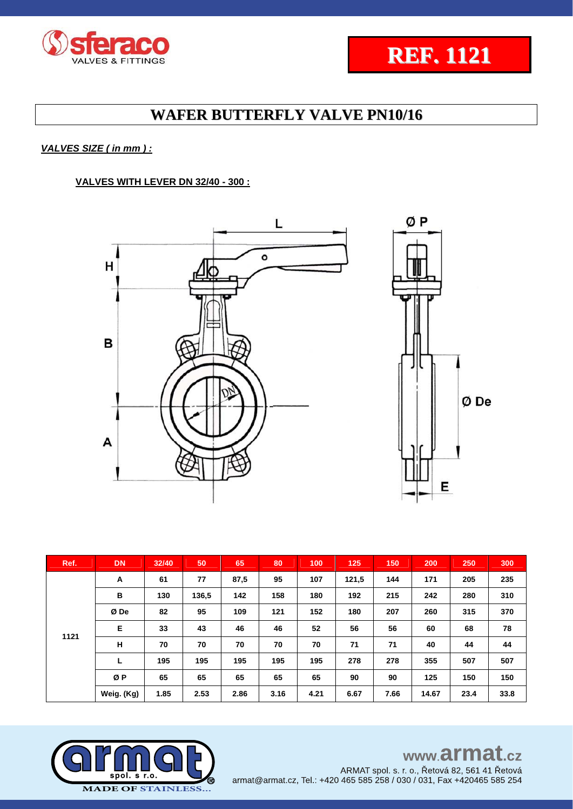



Ø De

# **WAFER BUTTERFLY VALVE PN10/16**

#### *VALVES SIZE ( in mm ) :*

#### **VALVES WITH LEVER DN 32/40 - 300 :**



| Ref. | <b>DN</b>  | 32/40 | 50    | 65   | 80   | 100  | 125   | 150  | 200   | 250  | 300  |
|------|------------|-------|-------|------|------|------|-------|------|-------|------|------|
|      | A          | 61    | 77    | 87,5 | 95   | 107  | 121,5 | 144  | 171   | 205  | 235  |
|      | В          | 130   | 136,5 | 142  | 158  | 180  | 192   | 215  | 242   | 280  | 310  |
|      | Ø De       | 82    | 95    | 109  | 121  | 152  | 180   | 207  | 260   | 315  | 370  |
| 1121 | Е          | 33    | 43    | 46   | 46   | 52   | 56    | 56   | 60    | 68   | 78   |
|      | н          | 70    | 70    | 70   | 70   | 70   | 71    | 71   | 40    | 44   | 44   |
|      | L          | 195   | 195   | 195  | 195  | 195  | 278   | 278  | 355   | 507  | 507  |
|      | ØP         | 65    | 65    | 65   | 65   | 65   | 90    | 90   | 125   | 150  | 150  |
|      | Weig. (Kg) | 1.85  | 2.53  | 2.86 | 3.16 | 4.21 | 6.67  | 7.66 | 14.67 | 23.4 | 33.8 |

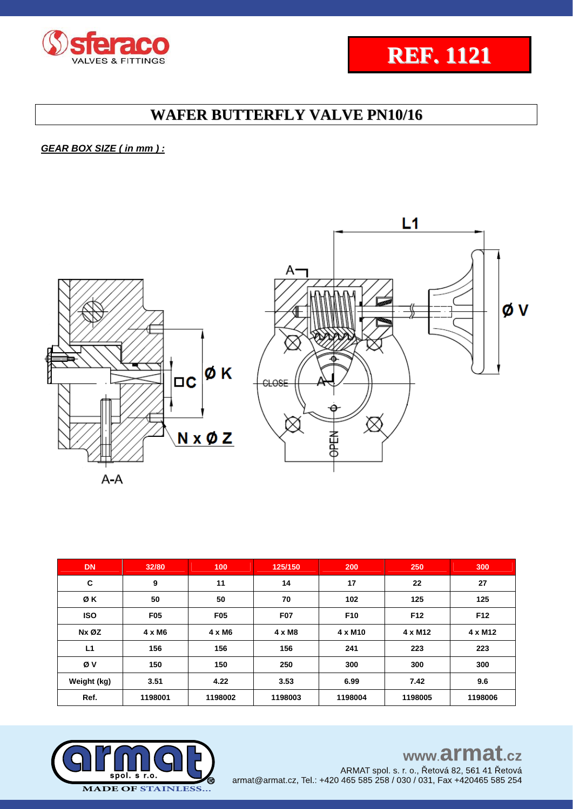



### *GEAR BOX SIZE ( in mm ) :*



| DN <sub>1</sub> | 32/80         | 100             | 125/150       | 200                 | 250             | 300            |
|-----------------|---------------|-----------------|---------------|---------------------|-----------------|----------------|
| C               | 9             | 11              | 14            | 17                  | 22              | 27             |
| ØΚ              | 50            | 50              | 70            | 102                 | 125             | 125            |
| <b>ISO</b>      | <b>F05</b>    | F <sub>05</sub> | <b>F07</b>    | F <sub>10</sub>     | F <sub>12</sub> | F12            |
| Nx ØZ           | $4 \times M6$ | $4 \times M6$   | $4 \times M8$ | 4 x M <sub>10</sub> | 4 x M12         | $4 \times M12$ |
| L1              | 156           | 156             | 156           | 241                 | 223             | 223            |
| Øν              | 150           | 150             | 250           | 300                 | 300             | 300            |
| Weight (kg)     | 3.51          | 4.22            | 3.53          | 6.99                | 7.42            | 9.6            |
| Ref.            | 1198001       | 1198002         | 1198003       | 1198004             | 1198005         | 1198006        |



# www.armat.cz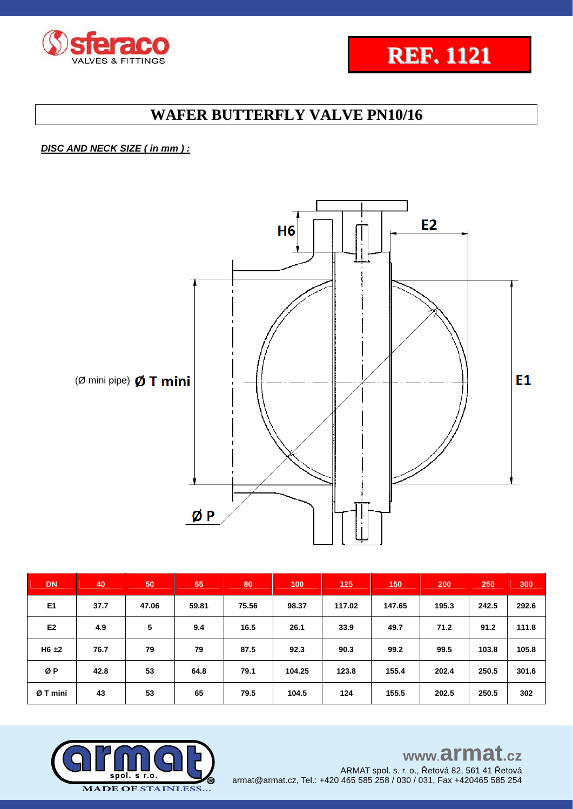



### *DISC AND NECK SIZE ( in mm ) :*



| <b>DN</b>      | 40   | 50    | 65    | 80    | 100    | 125    | 150    | 200   | 250   | 300   |
|----------------|------|-------|-------|-------|--------|--------|--------|-------|-------|-------|
| E <sub>1</sub> | 37.7 | 47.06 | 59.81 | 75.56 | 98.37  | 117.02 | 147.65 | 195.3 | 242.5 | 292.6 |
| E <sub>2</sub> | 4.9  | 5     | 9.4   | 16.5  | 26.1   | 33.9   | 49.7   | 71.2  | 91.2  | 111.8 |
| $H6 \pm 2$     | 76.7 | 79    | 79    | 87.5  | 92.3   | 90.3   | 99.2   | 99.5  | 103.8 | 105.8 |
| ØP             | 42.8 | 53    | 64.8  | 79.1  | 104.25 | 123.8  | 155.4  | 202.4 | 250.5 | 301.6 |
| Ø T mini       | 43   | 53    | 65    | 79.5  | 104.5  | 124    | 155.5  | 202.5 | 250.5 | 302   |



## www.armat.cz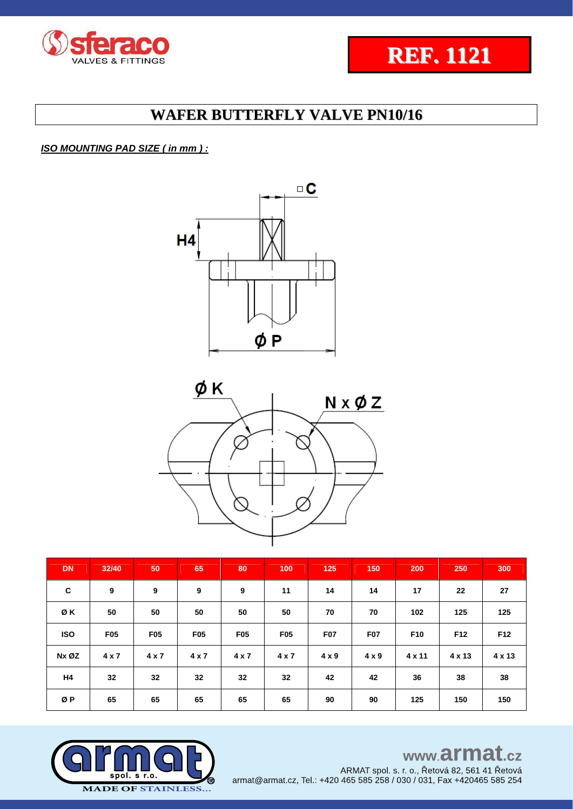



### *ISO MOUNTING PAD SIZE ( in mm ) :*





| <b>DN</b>  | 32/40      | 50         | 65         | 80         | 100        | 125          | 150          | 200             | 250    | 300    |
|------------|------------|------------|------------|------------|------------|--------------|--------------|-----------------|--------|--------|
| C          | 9          | 9          | 9          | 9          | 11         | 14           | 14           | 17              | 22     | 27     |
| ØΚ         | 50         | 50         | 50         | 50         | 50         | 70           | 70           | 102             | 125    | 125    |
| <b>ISO</b> | <b>F05</b> | <b>F05</b> | <b>F05</b> | <b>F05</b> | <b>F05</b> | F07          | <b>F07</b>   | F <sub>10</sub> | F12    | F12    |
| Nx ØZ      | 4 x 7      | 4 x 7      | 4 x 7      | 4 x 7      | 4 x 7      | $4 \times 9$ | $4 \times 9$ | 4 x 11          | 4 x 13 | 4 x 13 |
| H4         | 32         | 32         | 32         | 32         | 32         | 42           | 42           | 36              | 38     | 38     |
| ØΡ         | 65         | 65         | 65         | 65         | 65         | 90           | 90           | 125             | 150    | 150    |



# www.armat.cz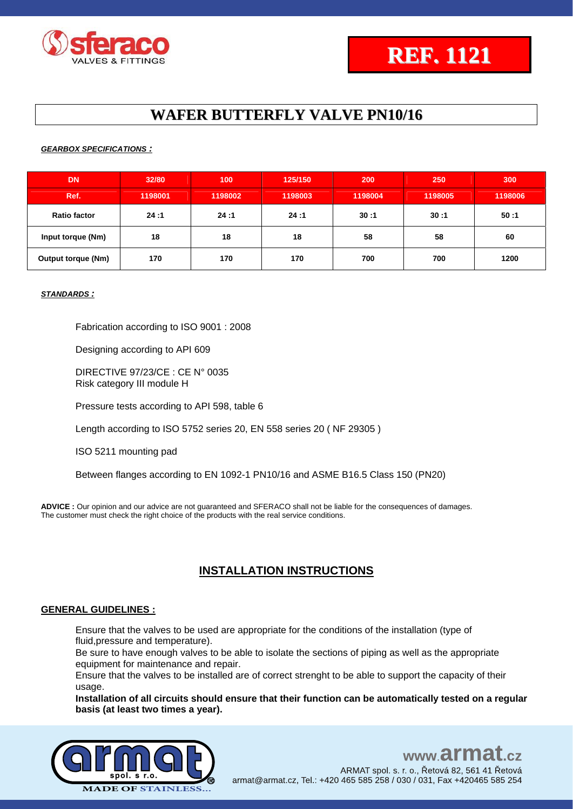

#### *GEARBOX SPECIFICATIONS :*

| <b>DN</b>                 | 32/80   | 100     | 125/150 | 200     | 250     | 300     |
|---------------------------|---------|---------|---------|---------|---------|---------|
| Ref.                      | 1198001 | 1198002 | 1198003 | 1198004 | 1198005 | 1198006 |
| <b>Ratio factor</b>       | 24:1    | 24:1    | 24:1    | 30:1    | 30:1    | 50:1    |
| Input torque (Nm)         | 18      | 18      | 18      | 58      | 58      | 60      |
| <b>Output torque (Nm)</b> | 170     | 170     | 170     | 700     | 700     | 1200    |

#### *STANDARDS :*

Fabrication according to ISO 9001 : 2008

Designing according to API 609

DIRECTIVE 97/23/CE : CE N° 0035 Risk category III module H

Pressure tests according to API 598, table 6

Length according to ISO 5752 series 20, EN 558 series 20 ( NF 29305 )

ISO 5211 mounting pad

Between flanges according to EN 1092-1 PN10/16 and ASME B16.5 Class 150 (PN20)

**ADVICE :** Our opinion and our advice are not guaranteed and SFERACO shall not be liable for the consequences of damages. The customer must check the right choice of the products with the real service conditions.

### **INSTALLATION INSTRUCTIONS**

#### **GENERAL GUIDELINES :**

Ensure that the valves to be used are appropriate for the conditions of the installation (type of fluid,pressure and temperature).

Be sure to have enough valves to be able to isolate the sections of piping as well as the appropriate equipment for maintenance and repair.

Ensure that the valves to be installed are of correct strenght to be able to support the capacity of their usage.

**Installation of all circuits should ensure that their function can be automatically tested on a regular basis (at least two times a year).**